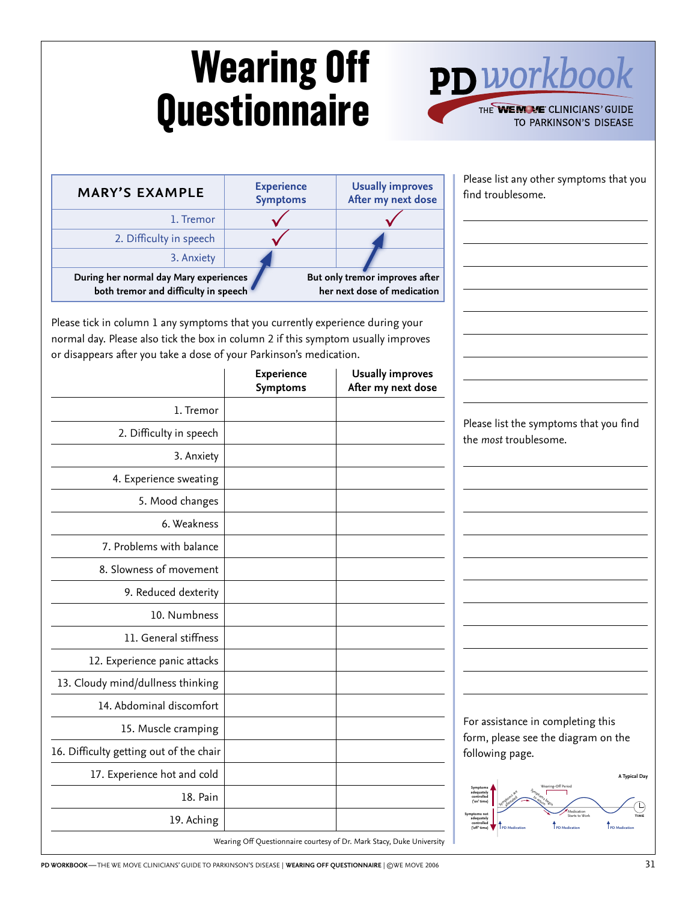## **Wearing Off Questionnaire**



find troublesome.

TO RESTLESS LEG SYNDROME

Please list any other symptoms that you

| <b>MARY'S EXAMPLE</b>                                                          | <b>Experience</b><br><b>Symptoms</b> | <b>Usually improves</b><br>After my next dose                 |
|--------------------------------------------------------------------------------|--------------------------------------|---------------------------------------------------------------|
| 1. Tremor                                                                      |                                      |                                                               |
| 2. Difficulty in speech                                                        |                                      |                                                               |
| 3. Anxiety                                                                     |                                      |                                                               |
| During her normal day Mary experiences<br>both tremor and difficulty in speech |                                      | But only tremor improves after<br>her next dose of medication |

Please tick in column<br>normal day. Please als<br>or disappears after yo Please tick in column 1 any symptoms that you currently experience during your normal day. Please also tick the box in column 2 if this symptom usually improves or disappears after you take a dose of your Parkinson's medication.

|                                         | <b>Experience</b><br><b>Symptoms</b> | <b>Usually improves</b><br>After my next dose                         |                                                                                                                                                                                             |
|-----------------------------------------|--------------------------------------|-----------------------------------------------------------------------|---------------------------------------------------------------------------------------------------------------------------------------------------------------------------------------------|
| 1. Tremor                               |                                      |                                                                       |                                                                                                                                                                                             |
| 2. Difficulty in speech                 |                                      |                                                                       | Please list the symptoms that you find<br>the most troublesome.                                                                                                                             |
| 3. Anxiety                              |                                      |                                                                       |                                                                                                                                                                                             |
| 4. Experience sweating                  |                                      |                                                                       |                                                                                                                                                                                             |
| 5. Mood changes                         |                                      |                                                                       |                                                                                                                                                                                             |
| 6. Weakness                             |                                      |                                                                       |                                                                                                                                                                                             |
| 7. Problems with balance                |                                      |                                                                       |                                                                                                                                                                                             |
| 8. Slowness of movement                 |                                      |                                                                       |                                                                                                                                                                                             |
| 9. Reduced dexterity                    |                                      |                                                                       |                                                                                                                                                                                             |
| 10. Numbness                            |                                      |                                                                       |                                                                                                                                                                                             |
| 11. General stiffness                   |                                      |                                                                       |                                                                                                                                                                                             |
| 12. Experience panic attacks            |                                      |                                                                       |                                                                                                                                                                                             |
| 13. Cloudy mind/dullness thinking       |                                      |                                                                       |                                                                                                                                                                                             |
| 14. Abdominal discomfort                |                                      |                                                                       |                                                                                                                                                                                             |
| 15. Muscle cramping                     |                                      |                                                                       | For assistance in completing this<br>form, please see the diagram on the                                                                                                                    |
| 16. Difficulty getting out of the chair |                                      |                                                                       | following page.                                                                                                                                                                             |
| 17. Experience hot and cold             |                                      |                                                                       | A Typical Day                                                                                                                                                                               |
| 18. Pain                                |                                      |                                                                       | adequately<br>controlled<br>('on' time)                                                                                                                                                     |
| 19. Aching                              |                                      |                                                                       | Medication<br>Starts to Worl<br>$\begin{array}{c} \text{Symptoms not} \\ \text{adequately} \\ \text{controlled} \\ \text{("off" time)} \end{array}$<br>PD Medication<br><b>PD Medicatio</b> |
|                                         |                                      | Wearing Off Questionnaire courtesy of Dr. Mark Stacy, Duke University |                                                                                                                                                                                             |